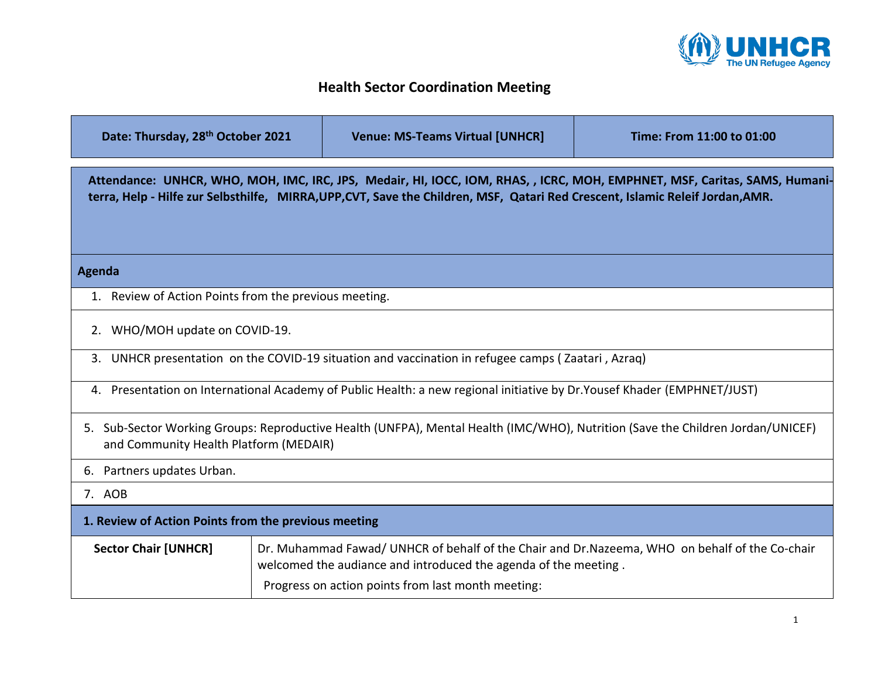

## **Health Sector Coordination Meeting**

| Date: Thursday, 28th October 2021                                                                                                                                                                                                                            |  | <b>Venue: MS-Teams Virtual [UNHCR]</b>                                                                                                                            | Time: From 11:00 to 01:00 |
|--------------------------------------------------------------------------------------------------------------------------------------------------------------------------------------------------------------------------------------------------------------|--|-------------------------------------------------------------------------------------------------------------------------------------------------------------------|---------------------------|
| Attendance: UNHCR, WHO, MOH, IMC, IRC, JPS, Medair, HI, IOCC, IOM, RHAS, , ICRC, MOH, EMPHNET, MSF, Caritas, SAMS, Humani-<br>terra, Help - Hilfe zur Selbsthilfe, MIRRA, UPP, CVT, Save the Children, MSF, Qatari Red Crescent, Islamic Releif Jordan, AMR. |  |                                                                                                                                                                   |                           |
| Agenda                                                                                                                                                                                                                                                       |  |                                                                                                                                                                   |                           |
| 1. Review of Action Points from the previous meeting.                                                                                                                                                                                                        |  |                                                                                                                                                                   |                           |
| 2. WHO/MOH update on COVID-19.                                                                                                                                                                                                                               |  |                                                                                                                                                                   |                           |
|                                                                                                                                                                                                                                                              |  | 3. UNHCR presentation on the COVID-19 situation and vaccination in refugee camps (Zaatari, Azraq)                                                                 |                           |
|                                                                                                                                                                                                                                                              |  | 4. Presentation on International Academy of Public Health: a new regional initiative by Dr. Yousef Khader (EMPHNET/JUST)                                          |                           |
| and Community Health Platform (MEDAIR)                                                                                                                                                                                                                       |  | 5. Sub-Sector Working Groups: Reproductive Health (UNFPA), Mental Health (IMC/WHO), Nutrition (Save the Children Jordan/UNICEF)                                   |                           |
| 6. Partners updates Urban.                                                                                                                                                                                                                                   |  |                                                                                                                                                                   |                           |
| 7. AOB                                                                                                                                                                                                                                                       |  |                                                                                                                                                                   |                           |
| 1. Review of Action Points from the previous meeting                                                                                                                                                                                                         |  |                                                                                                                                                                   |                           |
| <b>Sector Chair [UNHCR]</b>                                                                                                                                                                                                                                  |  | Dr. Muhammad Fawad/ UNHCR of behalf of the Chair and Dr.Nazeema, WHO on behalf of the Co-chair<br>welcomed the audiance and introduced the agenda of the meeting. |                           |
|                                                                                                                                                                                                                                                              |  | Progress on action points from last month meeting:                                                                                                                |                           |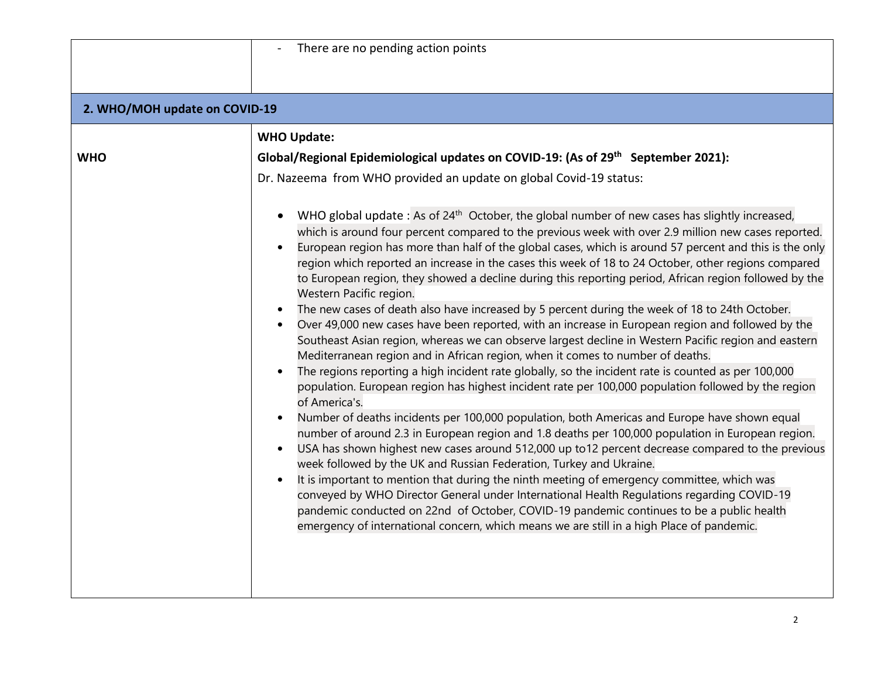| There are no pending action points                                                                                                                                                                                                                                                                                                                                                                                                                                                                                                                                                                                                                                                                                                                                                                                                                                                                                                                                                                                                                                                                                                                                                                                                                                                                                                                                                                                                                                                                                                                                                                                                                                                                                                                                                                                                                                                                                                                                                                                                                                                                                                                                                                    |
|-------------------------------------------------------------------------------------------------------------------------------------------------------------------------------------------------------------------------------------------------------------------------------------------------------------------------------------------------------------------------------------------------------------------------------------------------------------------------------------------------------------------------------------------------------------------------------------------------------------------------------------------------------------------------------------------------------------------------------------------------------------------------------------------------------------------------------------------------------------------------------------------------------------------------------------------------------------------------------------------------------------------------------------------------------------------------------------------------------------------------------------------------------------------------------------------------------------------------------------------------------------------------------------------------------------------------------------------------------------------------------------------------------------------------------------------------------------------------------------------------------------------------------------------------------------------------------------------------------------------------------------------------------------------------------------------------------------------------------------------------------------------------------------------------------------------------------------------------------------------------------------------------------------------------------------------------------------------------------------------------------------------------------------------------------------------------------------------------------------------------------------------------------------------------------------------------------|
|                                                                                                                                                                                                                                                                                                                                                                                                                                                                                                                                                                                                                                                                                                                                                                                                                                                                                                                                                                                                                                                                                                                                                                                                                                                                                                                                                                                                                                                                                                                                                                                                                                                                                                                                                                                                                                                                                                                                                                                                                                                                                                                                                                                                       |
| 2. WHO/MOH update on COVID-19                                                                                                                                                                                                                                                                                                                                                                                                                                                                                                                                                                                                                                                                                                                                                                                                                                                                                                                                                                                                                                                                                                                                                                                                                                                                                                                                                                                                                                                                                                                                                                                                                                                                                                                                                                                                                                                                                                                                                                                                                                                                                                                                                                         |
| <b>WHO Update:</b><br>Global/Regional Epidemiological updates on COVID-19: (As of 29 <sup>th</sup> September 2021):<br>Dr. Nazeema from WHO provided an update on global Covid-19 status:<br>WHO global update: As of 24 <sup>th</sup> October, the global number of new cases has slightly increased,<br>which is around four percent compared to the previous week with over 2.9 million new cases reported.<br>European region has more than half of the global cases, which is around 57 percent and this is the only<br>region which reported an increase in the cases this week of 18 to 24 October, other regions compared<br>to European region, they showed a decline during this reporting period, African region followed by the<br>Western Pacific region.<br>The new cases of death also have increased by 5 percent during the week of 18 to 24th October.<br>Over 49,000 new cases have been reported, with an increase in European region and followed by the<br>Southeast Asian region, whereas we can observe largest decline in Western Pacific region and eastern<br>Mediterranean region and in African region, when it comes to number of deaths.<br>The regions reporting a high incident rate globally, so the incident rate is counted as per 100,000<br>$\bullet$<br>population. European region has highest incident rate per 100,000 population followed by the region<br>of America's.<br>Number of deaths incidents per 100,000 population, both Americas and Europe have shown equal<br>number of around 2.3 in European region and 1.8 deaths per 100,000 population in European region.<br>USA has shown highest new cases around 512,000 up to12 percent decrease compared to the previous<br>week followed by the UK and Russian Federation, Turkey and Ukraine.<br>It is important to mention that during the ninth meeting of emergency committee, which was<br>$\bullet$<br>conveyed by WHO Director General under International Health Regulations regarding COVID-19<br>pandemic conducted on 22nd of October, COVID-19 pandemic continues to be a public health<br>emergency of international concern, which means we are still in a high Place of pandemic. |
|                                                                                                                                                                                                                                                                                                                                                                                                                                                                                                                                                                                                                                                                                                                                                                                                                                                                                                                                                                                                                                                                                                                                                                                                                                                                                                                                                                                                                                                                                                                                                                                                                                                                                                                                                                                                                                                                                                                                                                                                                                                                                                                                                                                                       |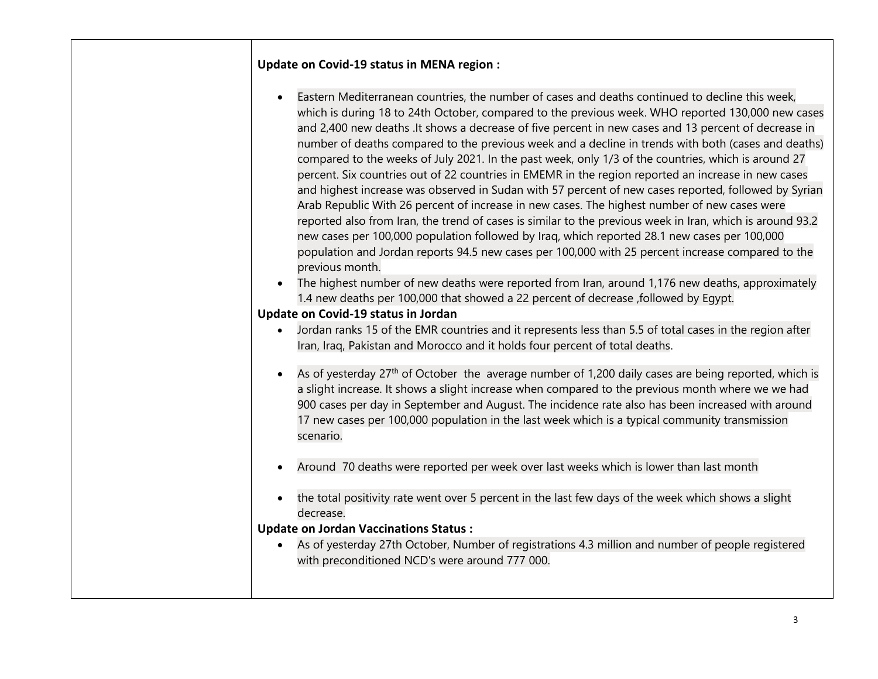## **Update on Covid-19 status in MENA region :**

| which is during 18 to 24th October, compared to the previous week. WHO reported 130,000 new cases                                                                                                          |
|------------------------------------------------------------------------------------------------------------------------------------------------------------------------------------------------------------|
|                                                                                                                                                                                                            |
| number of deaths compared to the previous week and a decline in trends with both (cases and deaths)                                                                                                        |
|                                                                                                                                                                                                            |
|                                                                                                                                                                                                            |
| and highest increase was observed in Sudan with 57 percent of new cases reported, followed by Syrian                                                                                                       |
|                                                                                                                                                                                                            |
| reported also from Iran, the trend of cases is similar to the previous week in Iran, which is around 93.2                                                                                                  |
|                                                                                                                                                                                                            |
|                                                                                                                                                                                                            |
|                                                                                                                                                                                                            |
| and 2,400 new deaths . It shows a decrease of five percent in new cases and 13 percent of decrease in<br>population and Jordan reports 94.5 new cases per 100,000 with 25 percent increase compared to the |

• The highest number of new deaths were reported from Iran, around 1,176 new deaths, approximately 1.4 new deaths per 100,000 that showed a 22 percent of decrease ,followed by Egypt.

## **Update on Covid-19 status in Jordan**

- Jordan ranks 15 of the EMR countries and it represents less than 5.5 of total cases in the region after Iran, Iraq, Pakistan and Morocco and it holds four percent of total deaths.
- As of yesterday  $27<sup>th</sup>$  of October the average number of 1,200 daily cases are being reported, which is a slight increase. It shows a slight increase when compared to the previous month where we we had 900 cases per day in September and August. The incidence rate also has been increased with around 17 new cases per 100,000 population in the last week which is a typical community transmission scenario.
- Around 70 deaths were reported per week over last weeks which is lower than last month
- the total positivity rate went over 5 percent in the last few days of the week which shows a slight decrease.

## **Update on Jordan Vaccinations Status :**

• As of yesterday 27th October, Number of registrations 4.3 million and number of people registered with preconditioned NCD's were around 777 000.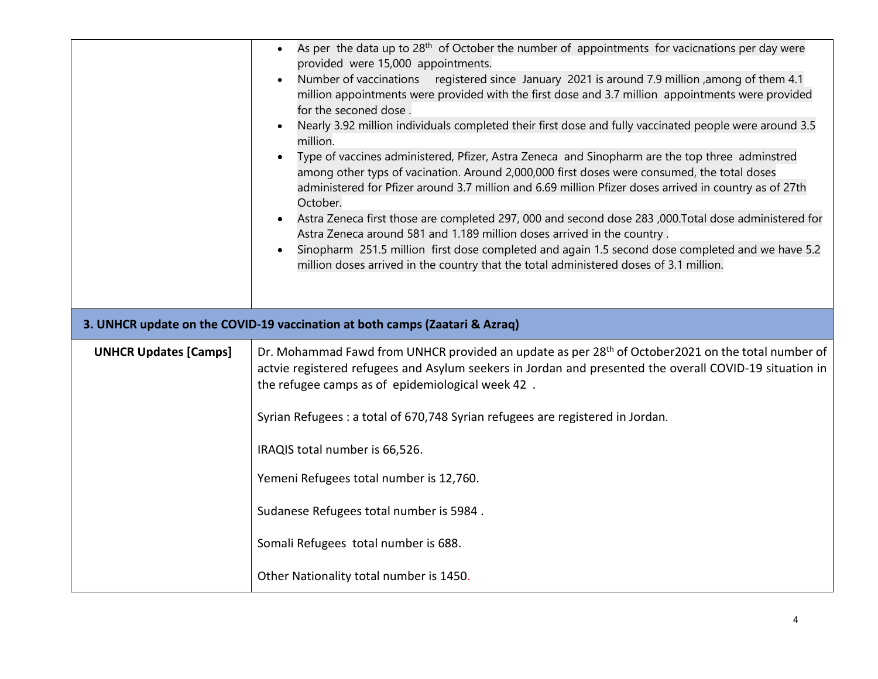|                              | As per the data up to 28 <sup>th</sup> of October the number of appointments for vacicnations per day were<br>$\bullet$<br>provided were 15,000 appointments.<br>Number of vaccinations registered since January 2021 is around 7.9 million , among of them 4.1<br>million appointments were provided with the first dose and 3.7 million appointments were provided<br>for the seconed dose.<br>Nearly 3.92 million individuals completed their first dose and fully vaccinated people were around 3.5<br>million.<br>Type of vaccines administered, Pfizer, Astra Zeneca and Sinopharm are the top three adminstred<br>$\bullet$<br>among other typs of vacination. Around 2,000,000 first doses were consumed, the total doses<br>administered for Pfizer around 3.7 million and 6.69 million Pfizer doses arrived in country as of 27th<br>October.<br>Astra Zeneca first those are completed 297, 000 and second dose 283 ,000. Total dose administered for<br>Astra Zeneca around 581 and 1.189 million doses arrived in the country.<br>Sinopharm 251.5 million first dose completed and again 1.5 second dose completed and we have 5.2<br>million doses arrived in the country that the total administered doses of 3.1 million. |
|------------------------------|-------------------------------------------------------------------------------------------------------------------------------------------------------------------------------------------------------------------------------------------------------------------------------------------------------------------------------------------------------------------------------------------------------------------------------------------------------------------------------------------------------------------------------------------------------------------------------------------------------------------------------------------------------------------------------------------------------------------------------------------------------------------------------------------------------------------------------------------------------------------------------------------------------------------------------------------------------------------------------------------------------------------------------------------------------------------------------------------------------------------------------------------------------------------------------------------------------------------------------------------|
|                              |                                                                                                                                                                                                                                                                                                                                                                                                                                                                                                                                                                                                                                                                                                                                                                                                                                                                                                                                                                                                                                                                                                                                                                                                                                           |
|                              | 3. UNHCR update on the COVID-19 vaccination at both camps (Zaatari & Azraq)                                                                                                                                                                                                                                                                                                                                                                                                                                                                                                                                                                                                                                                                                                                                                                                                                                                                                                                                                                                                                                                                                                                                                               |
| <b>UNHCR Updates [Camps]</b> | Dr. Mohammad Fawd from UNHCR provided an update as per 28 <sup>th</sup> of October 2021 on the total number of<br>actvie registered refugees and Asylum seekers in Jordan and presented the overall COVID-19 situation in<br>the refugee camps as of epidemiological week 42.<br>Syrian Refugees : a total of 670,748 Syrian refugees are registered in Jordan.                                                                                                                                                                                                                                                                                                                                                                                                                                                                                                                                                                                                                                                                                                                                                                                                                                                                           |
|                              | IRAQIS total number is 66,526.                                                                                                                                                                                                                                                                                                                                                                                                                                                                                                                                                                                                                                                                                                                                                                                                                                                                                                                                                                                                                                                                                                                                                                                                            |
|                              | Yemeni Refugees total number is 12,760.                                                                                                                                                                                                                                                                                                                                                                                                                                                                                                                                                                                                                                                                                                                                                                                                                                                                                                                                                                                                                                                                                                                                                                                                   |
|                              | Sudanese Refugees total number is 5984.                                                                                                                                                                                                                                                                                                                                                                                                                                                                                                                                                                                                                                                                                                                                                                                                                                                                                                                                                                                                                                                                                                                                                                                                   |
|                              | Somali Refugees total number is 688.                                                                                                                                                                                                                                                                                                                                                                                                                                                                                                                                                                                                                                                                                                                                                                                                                                                                                                                                                                                                                                                                                                                                                                                                      |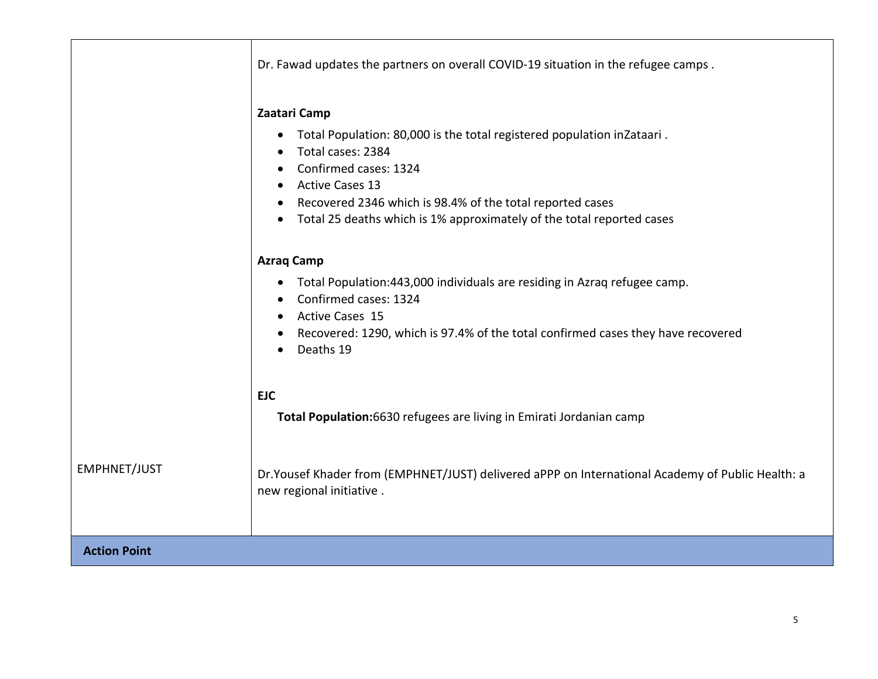|                     | Dr. Fawad updates the partners on overall COVID-19 situation in the refugee camps.                                                                                                                                                                                                                                             |  |
|---------------------|--------------------------------------------------------------------------------------------------------------------------------------------------------------------------------------------------------------------------------------------------------------------------------------------------------------------------------|--|
|                     | Zaatari Camp<br>Total Population: 80,000 is the total registered population inZataari.<br>$\bullet$<br>Total cases: 2384<br>Confirmed cases: 1324<br><b>Active Cases 13</b><br>Recovered 2346 which is 98.4% of the total reported cases<br>Total 25 deaths which is 1% approximately of the total reported cases<br>$\bullet$ |  |
|                     | <b>Azraq Camp</b><br>Total Population:443,000 individuals are residing in Azraq refugee camp.<br>$\bullet$<br>Confirmed cases: 1324<br><b>Active Cases 15</b><br>Recovered: 1290, which is 97.4% of the total confirmed cases they have recovered<br>Deaths 19                                                                 |  |
|                     | <b>EJC</b><br>Total Population: 6630 refugees are living in Emirati Jordanian camp                                                                                                                                                                                                                                             |  |
| EMPHNET/JUST        | Dr. Yousef Khader from (EMPHNET/JUST) delivered aPPP on International Academy of Public Health: a<br>new regional initiative.                                                                                                                                                                                                  |  |
| <b>Action Point</b> |                                                                                                                                                                                                                                                                                                                                |  |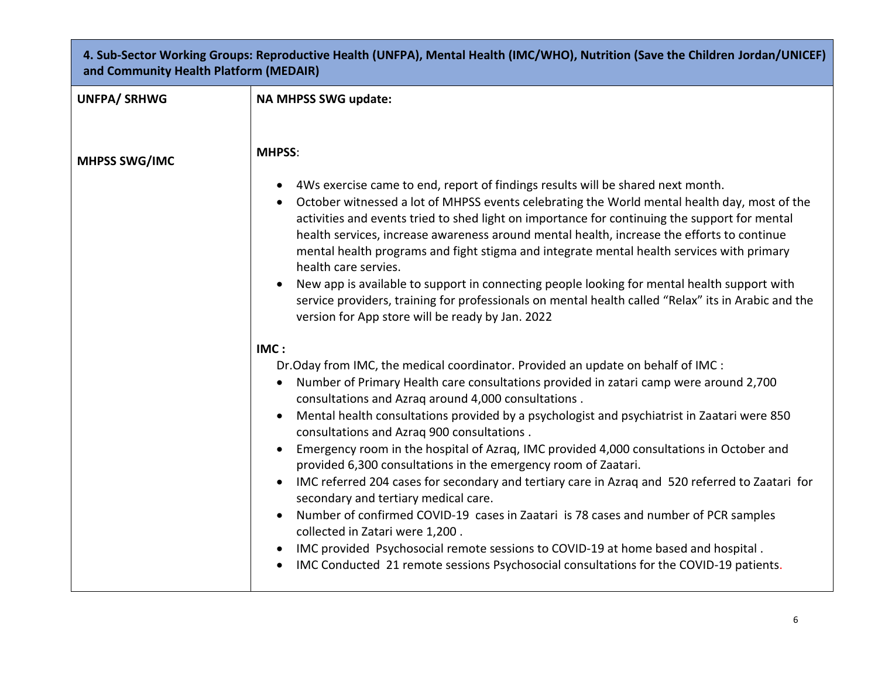| 4. Sub-Sector Working Groups: Reproductive Health (UNFPA), Mental Health (IMC/WHO), Nutrition (Save the Children Jordan/UNICEF)<br>and Community Health Platform (MEDAIR) |                                                                                                                                                                                                                                                                                                                                                                                                                                                                                                                                                                                                                                                                                                                                                                                                                                                                                                                                                                                                                       |  |
|---------------------------------------------------------------------------------------------------------------------------------------------------------------------------|-----------------------------------------------------------------------------------------------------------------------------------------------------------------------------------------------------------------------------------------------------------------------------------------------------------------------------------------------------------------------------------------------------------------------------------------------------------------------------------------------------------------------------------------------------------------------------------------------------------------------------------------------------------------------------------------------------------------------------------------------------------------------------------------------------------------------------------------------------------------------------------------------------------------------------------------------------------------------------------------------------------------------|--|
| <b>UNFPA/SRHWG</b>                                                                                                                                                        | <b>NA MHPSS SWG update:</b>                                                                                                                                                                                                                                                                                                                                                                                                                                                                                                                                                                                                                                                                                                                                                                                                                                                                                                                                                                                           |  |
|                                                                                                                                                                           |                                                                                                                                                                                                                                                                                                                                                                                                                                                                                                                                                                                                                                                                                                                                                                                                                                                                                                                                                                                                                       |  |
| <b>MHPSS SWG/IMC</b>                                                                                                                                                      | <b>MHPSS:</b>                                                                                                                                                                                                                                                                                                                                                                                                                                                                                                                                                                                                                                                                                                                                                                                                                                                                                                                                                                                                         |  |
|                                                                                                                                                                           | 4Ws exercise came to end, report of findings results will be shared next month.<br>$\bullet$<br>October witnessed a lot of MHPSS events celebrating the World mental health day, most of the<br>activities and events tried to shed light on importance for continuing the support for mental<br>health services, increase awareness around mental health, increase the efforts to continue<br>mental health programs and fight stigma and integrate mental health services with primary<br>health care servies.<br>New app is available to support in connecting people looking for mental health support with<br>service providers, training for professionals on mental health called "Relax" its in Arabic and the<br>version for App store will be ready by Jan. 2022                                                                                                                                                                                                                                            |  |
|                                                                                                                                                                           | IMC:<br>Dr. Oday from IMC, the medical coordinator. Provided an update on behalf of IMC :<br>Number of Primary Health care consultations provided in zatari camp were around 2,700<br>consultations and Azraq around 4,000 consultations.<br>Mental health consultations provided by a psychologist and psychiatrist in Zaatari were 850<br>consultations and Azraq 900 consultations.<br>Emergency room in the hospital of Azraq, IMC provided 4,000 consultations in October and<br>$\bullet$<br>provided 6,300 consultations in the emergency room of Zaatari.<br>IMC referred 204 cases for secondary and tertiary care in Azrag and 520 referred to Zaatari for<br>secondary and tertiary medical care.<br>Number of confirmed COVID-19 cases in Zaatari is 78 cases and number of PCR samples<br>collected in Zatari were 1,200.<br>IMC provided Psychosocial remote sessions to COVID-19 at home based and hospital.<br>IMC Conducted 21 remote sessions Psychosocial consultations for the COVID-19 patients. |  |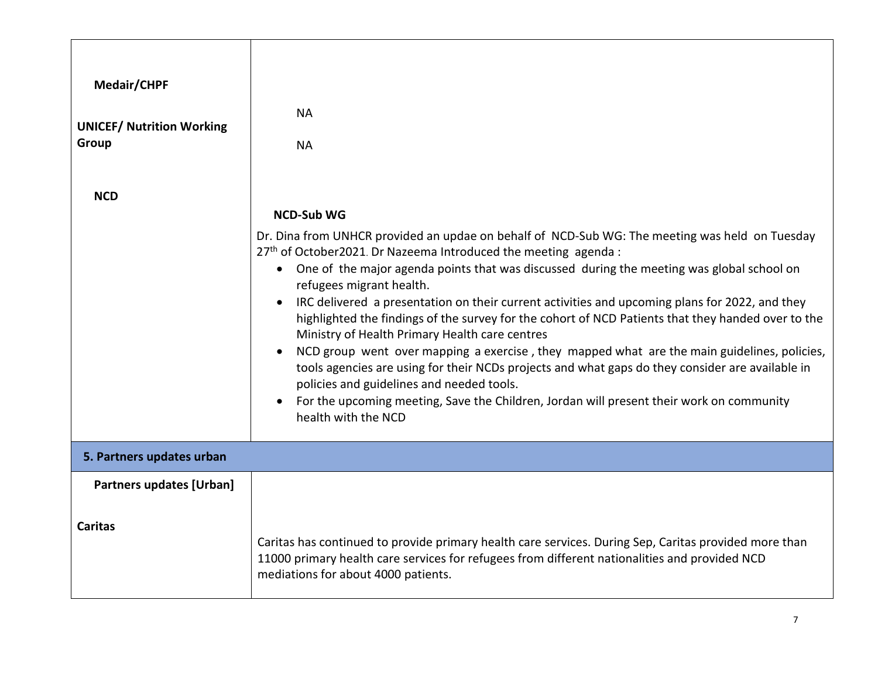| Medair/CHPF<br><b>UNICEF/ Nutrition Working</b><br>Group | <b>NA</b><br><b>NA</b>                                                                                                                                                                                                                                                                                                                                                                                                                                                                                                                                                                                                                                                                                                                                                                                                                                                                                                                                     |
|----------------------------------------------------------|------------------------------------------------------------------------------------------------------------------------------------------------------------------------------------------------------------------------------------------------------------------------------------------------------------------------------------------------------------------------------------------------------------------------------------------------------------------------------------------------------------------------------------------------------------------------------------------------------------------------------------------------------------------------------------------------------------------------------------------------------------------------------------------------------------------------------------------------------------------------------------------------------------------------------------------------------------|
| <b>NCD</b>                                               | <b>NCD-Sub WG</b><br>Dr. Dina from UNHCR provided an updae on behalf of NCD-Sub WG: The meeting was held on Tuesday<br>27th of October2021. Dr Nazeema Introduced the meeting agenda:<br>• One of the major agenda points that was discussed during the meeting was global school on<br>refugees migrant health.<br>IRC delivered a presentation on their current activities and upcoming plans for 2022, and they<br>$\bullet$<br>highlighted the findings of the survey for the cohort of NCD Patients that they handed over to the<br>Ministry of Health Primary Health care centres<br>NCD group went over mapping a exercise, they mapped what are the main guidelines, policies,<br>tools agencies are using for their NCDs projects and what gaps do they consider are available in<br>policies and guidelines and needed tools.<br>For the upcoming meeting, Save the Children, Jordan will present their work on community<br>health with the NCD |
| 5. Partners updates urban                                |                                                                                                                                                                                                                                                                                                                                                                                                                                                                                                                                                                                                                                                                                                                                                                                                                                                                                                                                                            |
| <b>Partners updates [Urban]</b>                          |                                                                                                                                                                                                                                                                                                                                                                                                                                                                                                                                                                                                                                                                                                                                                                                                                                                                                                                                                            |
| <b>Caritas</b>                                           | Caritas has continued to provide primary health care services. During Sep, Caritas provided more than<br>11000 primary health care services for refugees from different nationalities and provided NCD<br>mediations for about 4000 patients.                                                                                                                                                                                                                                                                                                                                                                                                                                                                                                                                                                                                                                                                                                              |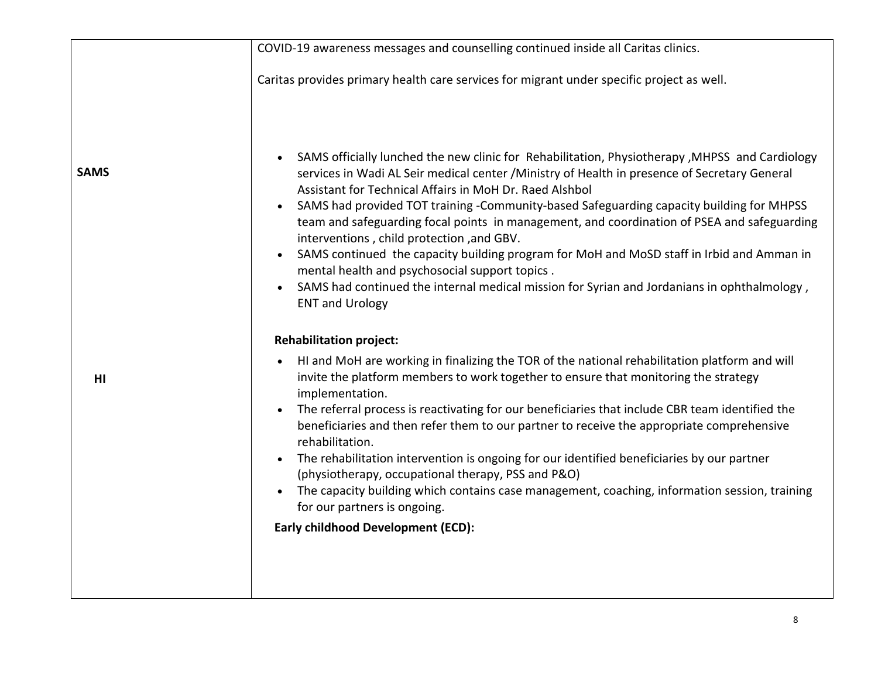|             | COVID-19 awareness messages and counselling continued inside all Caritas clinics.                                                                                                                                                                                                                                                                                                                                                                                                                                                                                                                                                                                                                                                                                                                    |
|-------------|------------------------------------------------------------------------------------------------------------------------------------------------------------------------------------------------------------------------------------------------------------------------------------------------------------------------------------------------------------------------------------------------------------------------------------------------------------------------------------------------------------------------------------------------------------------------------------------------------------------------------------------------------------------------------------------------------------------------------------------------------------------------------------------------------|
|             | Caritas provides primary health care services for migrant under specific project as well.                                                                                                                                                                                                                                                                                                                                                                                                                                                                                                                                                                                                                                                                                                            |
| <b>SAMS</b> | SAMS officially lunched the new clinic for Rehabilitation, Physiotherapy, MHPSS and Cardiology<br>$\bullet$<br>services in Wadi AL Seir medical center / Ministry of Health in presence of Secretary General<br>Assistant for Technical Affairs in MoH Dr. Raed Alshbol<br>SAMS had provided TOT training -Community-based Safeguarding capacity building for MHPSS<br>team and safeguarding focal points in management, and coordination of PSEA and safeguarding<br>interventions, child protection, and GBV.<br>SAMS continued the capacity building program for MoH and MoSD staff in Irbid and Amman in<br>$\bullet$<br>mental health and psychosocial support topics.<br>SAMS had continued the internal medical mission for Syrian and Jordanians in ophthalmology,<br><b>ENT and Urology</b> |
|             | <b>Rehabilitation project:</b>                                                                                                                                                                                                                                                                                                                                                                                                                                                                                                                                                                                                                                                                                                                                                                       |
| HI          | HI and MoH are working in finalizing the TOR of the national rehabilitation platform and will<br>$\bullet$<br>invite the platform members to work together to ensure that monitoring the strategy<br>implementation.                                                                                                                                                                                                                                                                                                                                                                                                                                                                                                                                                                                 |
|             | The referral process is reactivating for our beneficiaries that include CBR team identified the<br>beneficiaries and then refer them to our partner to receive the appropriate comprehensive<br>rehabilitation.                                                                                                                                                                                                                                                                                                                                                                                                                                                                                                                                                                                      |
|             | The rehabilitation intervention is ongoing for our identified beneficiaries by our partner<br>$\bullet$<br>(physiotherapy, occupational therapy, PSS and P&O)                                                                                                                                                                                                                                                                                                                                                                                                                                                                                                                                                                                                                                        |
|             | The capacity building which contains case management, coaching, information session, training<br>for our partners is ongoing.                                                                                                                                                                                                                                                                                                                                                                                                                                                                                                                                                                                                                                                                        |
|             | <b>Early childhood Development (ECD):</b>                                                                                                                                                                                                                                                                                                                                                                                                                                                                                                                                                                                                                                                                                                                                                            |
|             |                                                                                                                                                                                                                                                                                                                                                                                                                                                                                                                                                                                                                                                                                                                                                                                                      |
|             |                                                                                                                                                                                                                                                                                                                                                                                                                                                                                                                                                                                                                                                                                                                                                                                                      |
|             |                                                                                                                                                                                                                                                                                                                                                                                                                                                                                                                                                                                                                                                                                                                                                                                                      |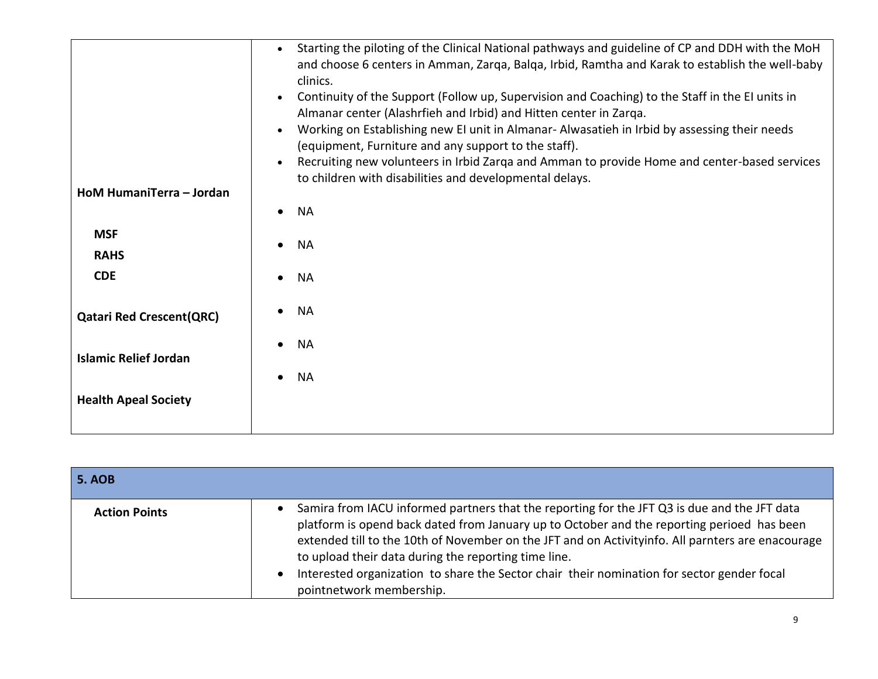| HoM HumaniTerra - Jordan        | Starting the piloting of the Clinical National pathways and guideline of CP and DDH with the MoH<br>$\bullet$<br>and choose 6 centers in Amman, Zarga, Balga, Irbid, Ramtha and Karak to establish the well-baby<br>clinics.<br>Continuity of the Support (Follow up, Supervision and Coaching) to the Staff in the EI units in<br>$\bullet$<br>Almanar center (Alashrfieh and Irbid) and Hitten center in Zarqa.<br>Working on Establishing new EI unit in Almanar- Alwasatieh in Irbid by assessing their needs<br>$\bullet$<br>(equipment, Furniture and any support to the staff).<br>Recruiting new volunteers in Irbid Zarqa and Amman to provide Home and center-based services<br>$\bullet$<br>to children with disabilities and developmental delays. |
|---------------------------------|----------------------------------------------------------------------------------------------------------------------------------------------------------------------------------------------------------------------------------------------------------------------------------------------------------------------------------------------------------------------------------------------------------------------------------------------------------------------------------------------------------------------------------------------------------------------------------------------------------------------------------------------------------------------------------------------------------------------------------------------------------------|
|                                 | <b>NA</b><br>$\bullet$                                                                                                                                                                                                                                                                                                                                                                                                                                                                                                                                                                                                                                                                                                                                         |
| <b>MSF</b><br><b>RAHS</b>       | <b>NA</b><br>$\bullet$                                                                                                                                                                                                                                                                                                                                                                                                                                                                                                                                                                                                                                                                                                                                         |
| <b>CDE</b>                      | <b>NA</b>                                                                                                                                                                                                                                                                                                                                                                                                                                                                                                                                                                                                                                                                                                                                                      |
| <b>Qatari Red Crescent(QRC)</b> | <b>NA</b>                                                                                                                                                                                                                                                                                                                                                                                                                                                                                                                                                                                                                                                                                                                                                      |
| <b>Islamic Relief Jordan</b>    | <b>NA</b>                                                                                                                                                                                                                                                                                                                                                                                                                                                                                                                                                                                                                                                                                                                                                      |
|                                 | <b>NA</b>                                                                                                                                                                                                                                                                                                                                                                                                                                                                                                                                                                                                                                                                                                                                                      |
| <b>Health Apeal Society</b>     |                                                                                                                                                                                                                                                                                                                                                                                                                                                                                                                                                                                                                                                                                                                                                                |
|                                 |                                                                                                                                                                                                                                                                                                                                                                                                                                                                                                                                                                                                                                                                                                                                                                |

| <b>5. AOB</b>        |                                                                                                                                                                                                                                                                                                                                                                                                                                                                                                             |
|----------------------|-------------------------------------------------------------------------------------------------------------------------------------------------------------------------------------------------------------------------------------------------------------------------------------------------------------------------------------------------------------------------------------------------------------------------------------------------------------------------------------------------------------|
| <b>Action Points</b> | Samira from IACU informed partners that the reporting for the JFT Q3 is due and the JFT data<br>$\bullet$<br>platform is opend back dated from January up to October and the reporting perioed has been<br>extended till to the 10th of November on the JFT and on Activityinfo. All parnters are enacourage<br>to upload their data during the reporting time line.<br>Interested organization to share the Sector chair their nomination for sector gender focal<br>$\bullet$<br>pointnetwork membership. |